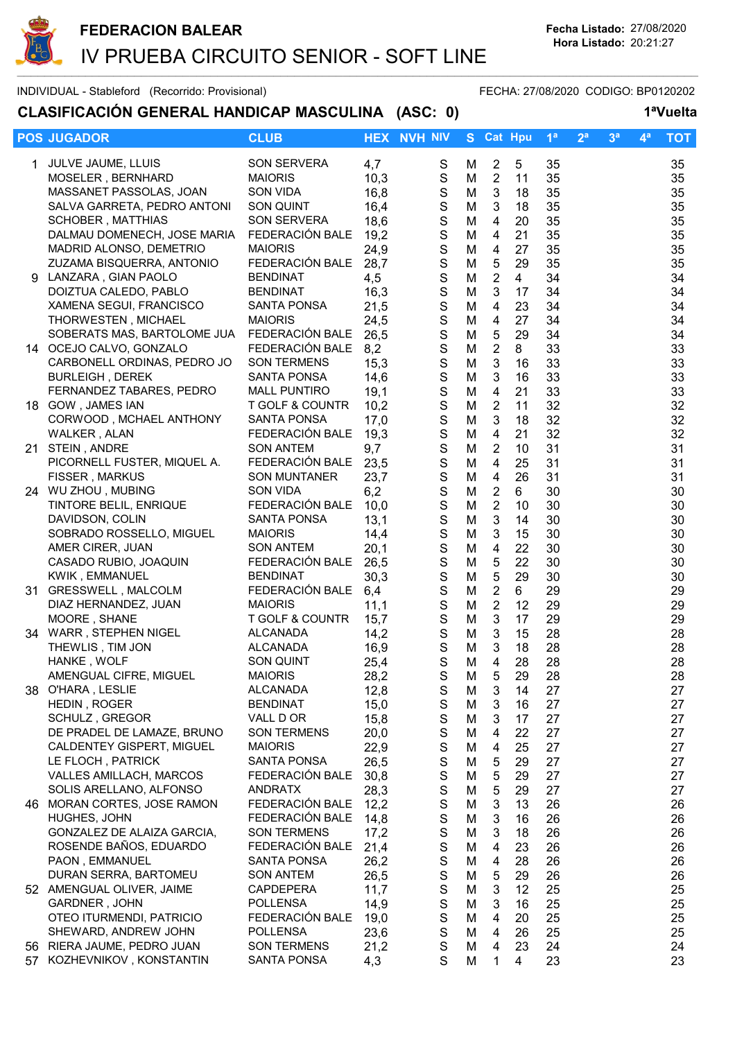

## CLASIFICACIÓN GENERAL HANDICAP MASCULINA (ASC: 0) 1ªVuelta

|    | <b>POS JUGADOR</b>                                        | <b>CLUB</b>                           | <b>HEX</b>   | <b>NVH NIV</b>             | S.     | <b>Cat Hpu</b>                         |                | 1 <sup>a</sup> | 2 <sup>a</sup> | 3 <sup>a</sup> | 4ª | <b>TOT</b> |
|----|-----------------------------------------------------------|---------------------------------------|--------------|----------------------------|--------|----------------------------------------|----------------|----------------|----------------|----------------|----|------------|
|    | 1 JULVE JAUME, LLUIS                                      | SON SERVERA                           | 4,7          | S                          | M      | $\overline{2}$                         | 5              | 35             |                |                |    | 35         |
|    | MOSELER, BERNHARD                                         | <b>MAIORIS</b>                        | 10,3         | $\mathsf S$                | M      | $\overline{2}$                         | 11             | 35             |                |                |    | 35         |
|    | MASSANET PASSOLAS, JOAN                                   | <b>SON VIDA</b>                       | 16,8         | $\mathbf S$                | M      | $\mathfrak{S}$                         | 18             | 35             |                |                |    | 35         |
|    | SALVA GARRETA, PEDRO ANTONI                               | SON QUINT                             | 16,4         | $\mathbf S$                | M      | 3                                      | 18             | 35             |                |                |    | 35         |
|    | <b>SCHOBER, MATTHIAS</b>                                  | <b>SON SERVERA</b>                    | 18,6         | $\mathbf S$                | M      | $\overline{4}$                         | 20             | 35             |                |                |    | 35         |
|    | DALMAU DOMENECH, JOSE MARIA                               | FEDERACIÓN BALE                       | 19,2         | $\mathbf S$                | M      | $\overline{4}$                         | 21             | 35             |                |                |    | 35         |
|    | MADRID ALONSO, DEMETRIO                                   | <b>MAIORIS</b>                        | 24,9         | $\mathbf S$                | M      | 4                                      | 27             | 35             |                |                |    | 35         |
|    | ZUZAMA BISQUERRA, ANTONIO                                 | FEDERACIÓN BALE                       | 28,7         | $\mathbf S$                | M      | 5                                      | 29             | 35             |                |                |    | 35         |
|    | 9 LANZARA, GIAN PAOLO                                     | <b>BENDINAT</b>                       | 4,5          | $\mathbf S$                | M      | $\overline{2}$                         | $\overline{4}$ | 34             |                |                |    | 34         |
|    | DOIZTUA CALEDO, PABLO                                     | <b>BENDINAT</b>                       | 16,3         | S                          | M      | 3                                      | 17             | 34             |                |                |    | 34         |
|    | XAMENA SEGUI, FRANCISCO                                   | <b>SANTA PONSA</b><br><b>MAIORIS</b>  | 21,5         | $\mathbf S$<br>$\mathbf S$ | M      | 4                                      | 23<br>27       | 34             |                |                |    | 34         |
|    | <b>THORWESTEN, MICHAEL</b><br>SOBERATS MAS, BARTOLOME JUA | FEDERACIÓN BALE                       | 24,5<br>26,5 | $\mathbf S$                | M<br>M | 4<br>5                                 | 29             | 34<br>34       |                |                |    | 34<br>34   |
|    | 14 OCEJO CALVO, GONZALO                                   | FEDERACIÓN BALE                       | 8,2          | $\mathbf S$                | M      | $\boldsymbol{2}$                       | 8              | 33             |                |                |    | 33         |
|    | CARBONELL ORDINAS, PEDRO JO                               | <b>SON TERMENS</b>                    | 15,3         | $\mathbf S$                | M      | $\ensuremath{\mathsf{3}}$              | 16             | 33             |                |                |    | 33         |
|    | <b>BURLEIGH, DEREK</b>                                    | <b>SANTA PONSA</b>                    | 14,6         | $\mathbf S$                | M      | $\mathfrak{B}$                         | 16             | 33             |                |                |    | 33         |
|    | FERNANDEZ TABARES, PEDRO                                  | <b>MALL PUNTIRO</b>                   | 19,1         | $\mathbf S$                | M      | $\overline{\mathbf{4}}$                | 21             | 33             |                |                |    | 33         |
|    | 18 GOW, JAMES IAN                                         | <b>T GOLF &amp; COUNTR</b>            | 10,2         | $\mathbb S$                | M      | $\boldsymbol{2}$                       | 11             | 32             |                |                |    | 32         |
|    | CORWOOD, MCHAEL ANTHONY                                   | <b>SANTA PONSA</b>                    | 17,0         | $\mathbf S$                | M      | $\mathfrak{B}$                         | 18             | 32             |                |                |    | 32         |
|    | WALKER, ALAN                                              | FEDERACIÓN BALE                       | 19,3         | $\mathbf S$                | M      | 4                                      | 21             | 32             |                |                |    | 32         |
|    | 21 STEIN, ANDRE                                           | <b>SON ANTEM</b>                      | 9,7          | S                          | M      | $\overline{2}$                         | 10             | 31             |                |                |    | 31         |
|    | PICORNELL FUSTER, MIQUEL A.                               | FEDERACIÓN BALE                       | 23,5         | S                          | M      | 4                                      | 25             | 31             |                |                |    | 31         |
|    | <b>FISSER, MARKUS</b>                                     | <b>SON MUNTANER</b>                   | 23,7         | $\mathbf S$                | M      | 4                                      | 26             | 31             |                |                |    | 31         |
|    | 24 WU ZHOU, MUBING                                        | <b>SON VIDA</b>                       | 6,2          | $\mathsf{S}$               | M      | $\overline{2}$                         | 6              | 30             |                |                |    | 30         |
|    | TINTORE BELIL, ENRIQUE                                    | FEDERACIÓN BALE                       | 10,0         | $\mathbf S$                | M      | $\overline{2}$                         | 10             | 30             |                |                |    | 30         |
|    | DAVIDSON, COLIN                                           | <b>SANTA PONSA</b>                    | 13,1         | $\mathbf S$                | M      | 3                                      | 14             | 30             |                |                |    | 30         |
|    | SOBRADO ROSSELLO, MIGUEL                                  | <b>MAIORIS</b>                        | 14,4         | $\mathbf S$                | M      | $\mathbf{3}$                           | 15             | 30             |                |                |    | 30         |
|    | AMER CIRER, JUAN                                          | <b>SON ANTEM</b><br>FEDERACIÓN BALE   | 20,1<br>26,5 | $\mathbf S$<br>$\mathbf S$ | M      | $\overline{\mathbf{4}}$<br>$\mathbf 5$ | 22<br>22       | 30<br>30       |                |                |    | 30         |
|    | CASADO RUBIO, JOAQUIN<br>KWIK, EMMANUEL                   | <b>BENDINAT</b>                       | 30,3         | $\mathbf S$                | M<br>M | 5                                      | 29             | 30             |                |                |    | 30<br>30   |
|    | 31 GRESSWELL, MALCOLM                                     | FEDERACIÓN BALE                       | 6,4          | $\mathbf S$                | M      | $\boldsymbol{2}$                       | 6              | 29             |                |                |    | 29         |
|    | DIAZ HERNANDEZ, JUAN                                      | <b>MAIORIS</b>                        | 11,1         | $\mathbf S$                | M      | $\overline{2}$                         | 12             | 29             |                |                |    | 29         |
|    | MOORE, SHANE                                              | T GOLF & COUNTR                       | 15,7         | $\mathbf S$                | M      | 3                                      | 17             | 29             |                |                |    | 29         |
|    | 34 WARR, STEPHEN NIGEL                                    | <b>ALCANADA</b>                       | 14,2         | $\mathsf S$                | M      | 3                                      | 15             | 28             |                |                |    | 28         |
|    | THEWLIS, TIM JON                                          | ALCANADA                              | 16,9         | S                          | M      | 3                                      | 18             | 28             |                |                |    | 28         |
|    | HANKE, WOLF                                               | <b>SON QUINT</b>                      | 25,4         | S                          | M      | 4                                      | 28             | 28             |                |                |    | 28         |
|    | AMENGUAL CIFRE, MIGUEL                                    | <b>MAIORIS</b>                        | 28,2         | S                          | M      | 5                                      | 29             | 28             |                |                |    | 28         |
| 38 | O'HARA, LESLIE                                            | <b>ALCANADA</b>                       | 12,8         | S                          | M      | 3                                      | 14             | 27             |                |                |    | 27         |
|    | HEDIN, ROGER                                              | <b>BENDINAT</b>                       | 15,0         | $\mathbf S$                | M      | 3                                      | 16             | 27             |                |                |    | 27         |
|    | SCHULZ, GREGOR                                            | VALL D OR                             | 15,8         | $\mathbb S$                | M      | 3                                      | 17             | 27             |                |                |    | 27         |
|    | DE PRADEL DE LAMAZE, BRUNO                                | <b>SON TERMENS</b>                    | 20,0         | $\mathbf S$                | M      | 4                                      | 22             | 27             |                |                |    | 27         |
|    | CALDENTEY GISPERT, MIGUEL                                 | <b>MAIORIS</b>                        | 22,9         | $\mathbf S$                | M      | 4                                      | 25             | 27             |                |                |    | 27         |
|    | LE FLOCH, PATRICK<br><b>VALLES AMILLACH, MARCOS</b>       | <b>SANTA PONSA</b><br>FEDERACIÓN BALE | 26,5         | $\mathbf S$<br>$\mathbf S$ | M<br>M | 5<br>5                                 | 29<br>29       | 27<br>27       |                |                |    | 27<br>27   |
|    | SOLIS ARELLANO, ALFONSO                                   | <b>ANDRATX</b>                        | 30,8<br>28,3 | $\mathbf S$                | M      | 5                                      | 29             | 27             |                |                |    | 27         |
|    | 46 MORAN CORTES, JOSE RAMON                               | FEDERACIÓN BALE                       | 12,2         | $\mathbf S$                | M      | 3                                      | 13             | 26             |                |                |    | 26         |
|    | HUGHES, JOHN                                              | FEDERACIÓN BALE                       | 14,8         | $\mathbf S$                | M      | 3                                      | 16             | 26             |                |                |    | 26         |
|    | GONZALEZ DE ALAIZA GARCIA,                                | <b>SON TERMENS</b>                    | 17,2         | $\mathbf S$                | M      | 3                                      | 18             | 26             |                |                |    | 26         |
|    | ROSENDE BAÑOS, EDUARDO                                    | FEDERACIÓN BALE                       | 21,4         | $\mathbf S$                | M      | 4                                      | 23             | 26             |                |                |    | 26         |
|    | PAON, EMMANUEL                                            | SANTA PONSA                           | 26,2         | $\mathbf S$                | M      | 4                                      | 28             | 26             |                |                |    | 26         |
|    | DURAN SERRA, BARTOMEU                                     | <b>SON ANTEM</b>                      | 26,5         | $\mathbf S$                | M      | 5                                      | 29             | 26             |                |                |    | 26         |
|    | 52 AMENGUAL OLIVER, JAIME                                 | <b>CAPDEPERA</b>                      | 11,7         | $\mathbf S$                | M      | $\mathbf{3}$                           | 12             | 25             |                |                |    | 25         |
|    | GARDNER, JOHN                                             | <b>POLLENSA</b>                       | 14,9         | S                          | M      | $\mathbf{3}$                           | 16             | 25             |                |                |    | 25         |
|    | OTEO ITURMENDI, PATRICIO                                  | FEDERACIÓN BALE                       | 19,0         | $\mathbf S$                | M      | $\overline{4}$                         | 20             | 25             |                |                |    | 25         |
|    | SHEWARD, ANDREW JOHN                                      | <b>POLLENSA</b>                       | 23,6         | $\mathbf S$                | M      | 4                                      | 26             | 25             |                |                |    | 25         |
|    | 56 RIERA JAUME, PEDRO JUAN                                | <b>SON TERMENS</b>                    | 21,2         | $\mathbf S$                | M      | 4                                      | 23             | 24             |                |                |    | 24         |
|    | 57 KOZHEVNIKOV, KONSTANTIN                                | <b>SANTA PONSA</b>                    | 4,3          | S                          | M      | 1                                      | 4              | 23             |                |                |    | 23         |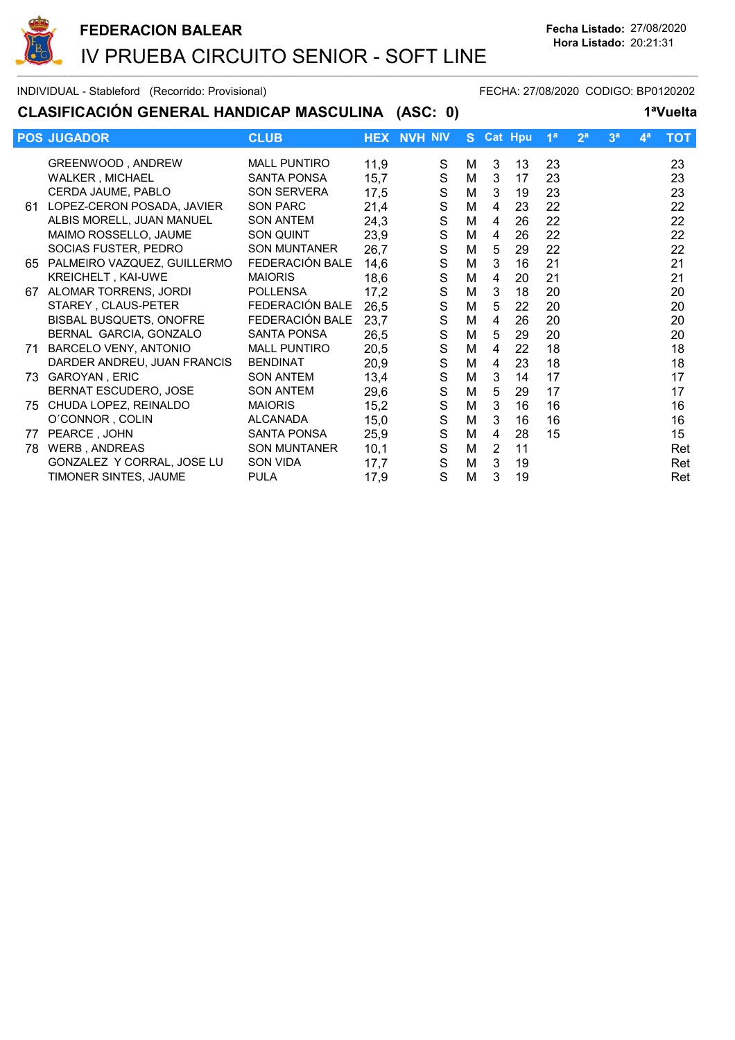

## CLASIFICACIÓN GENERAL HANDICAP MASCULINA (ASC: 0) 1ªVuelta

|    | <b>POS JUGADOR</b>             | <b>CLUB</b>         |      | <b>HEX NVH NIV</b> | S. |                | <b>Cat Hpu</b> | 1 <sup>a</sup> | 2 <sup>a</sup> | 3 <sup>a</sup> | 4 <sup>a</sup> | <b>TOT</b> |
|----|--------------------------------|---------------------|------|--------------------|----|----------------|----------------|----------------|----------------|----------------|----------------|------------|
|    | GREENWOOD, ANDREW              | <b>MALL PUNTIRO</b> | 11,9 | S                  | M  | 3              | 13             | 23             |                |                |                | 23         |
|    | WALKER, MICHAEL                | <b>SANTA PONSA</b>  | 15,7 | S                  | M  | 3              | 17             | 23             |                |                |                | 23         |
|    | CERDA JAUME, PABLO             | SON SERVERA         | 17,5 | ${\mathsf S}$      | M  | 3              | 19             | 23             |                |                |                | 23         |
| 61 | LOPEZ-CERON POSADA, JAVIER     | <b>SON PARC</b>     | 21,4 | S                  | M  | 4              | 23             | 22             |                |                |                | 22         |
|    | ALBIS MORELL, JUAN MANUEL      | <b>SON ANTEM</b>    | 24,3 | $\mathbf S$        | M  | 4              | 26             | 22             |                |                |                | 22         |
|    | MAIMO ROSSELLO, JAUME          | SON QUINT           | 23,9 | $\mathbf S$        | M  | 4              | 26             | 22             |                |                |                | 22         |
|    | SOCIAS FUSTER, PEDRO           | <b>SON MUNTANER</b> | 26,7 | $\mathbf S$        | M  | 5              | 29             | 22             |                |                |                | 22         |
|    | 65 PALMEIRO VAZQUEZ, GUILLERMO | FEDERACIÓN BALE     | 14,6 | S                  | M  | 3              | 16             | 21             |                |                |                | 21         |
|    | KREICHELT, KAI-UWE             | <b>MAIORIS</b>      | 18,6 | $\mathbf S$        | M  | 4              | 20             | 21             |                |                |                | 21         |
| 67 | ALOMAR TORRENS, JORDI          | <b>POLLENSA</b>     | 17,2 | S                  | M  | 3              | 18             | 20             |                |                |                | 20         |
|    | STAREY, CLAUS-PETER            | FEDERACIÓN BALE     | 26,5 | $\mathbf S$        | м  | 5              | 22             | 20             |                |                |                | 20         |
|    | <b>BISBAL BUSQUETS, ONOFRE</b> | FEDERACIÓN BALE     | 23,7 | $\mathbf S$        | M  | 4              | 26             | 20             |                |                |                | 20         |
|    | BERNAL GARCIA, GONZALO         | SANTA PONSA         | 26,5 | $\mathbf S$        | M  | 5              | 29             | 20             |                |                |                | 20         |
| 71 | BARCELO VENY, ANTONIO          | <b>MALL PUNTIRO</b> | 20,5 | $\mathbf S$        | M  | 4              | 22             | 18             |                |                |                | 18         |
|    | DARDER ANDREU, JUAN FRANCIS    | <b>BENDINAT</b>     | 20,9 | $\mathbf S$        | M  | 4              | 23             | 18             |                |                |                | 18         |
|    | 73 GAROYAN, ERIC               | <b>SON ANTEM</b>    | 13,4 | $\mathbf S$        | M  | 3              | 14             | 17             |                |                |                | 17         |
|    | BERNAT ESCUDERO, JOSE          | <b>SON ANTEM</b>    | 29,6 | S                  | M  | 5              | 29             | 17             |                |                |                | 17         |
| 75 | CHUDA LOPEZ, REINALDO          | <b>MAIORIS</b>      | 15,2 | S                  | M  | 3              | 16             | 16             |                |                |                | 16         |
|    | O'CONNOR, COLIN                | <b>ALCANADA</b>     | 15,0 | S                  | м  | 3              | 16             | 16             |                |                |                | 16         |
| 77 | PEARCE, JOHN                   | <b>SANTA PONSA</b>  | 25,9 | $\mathbf S$        | M  | 4              | 28             | 15             |                |                |                | 15         |
| 78 | WERB, ANDREAS                  | <b>SON MUNTANER</b> | 10,1 | S                  | M  | $\overline{2}$ | 11             |                |                |                |                | Ret        |
|    | GONZALEZ Y CORRAL, JOSE LU     | SON VIDA            | 17,7 | S                  | M  | 3              | 19             |                |                |                |                | Ret        |
|    | TIMONER SINTES, JAUME          | <b>PULA</b>         | 17,9 | S                  | M  | 3              | 19             |                |                |                |                | Ret        |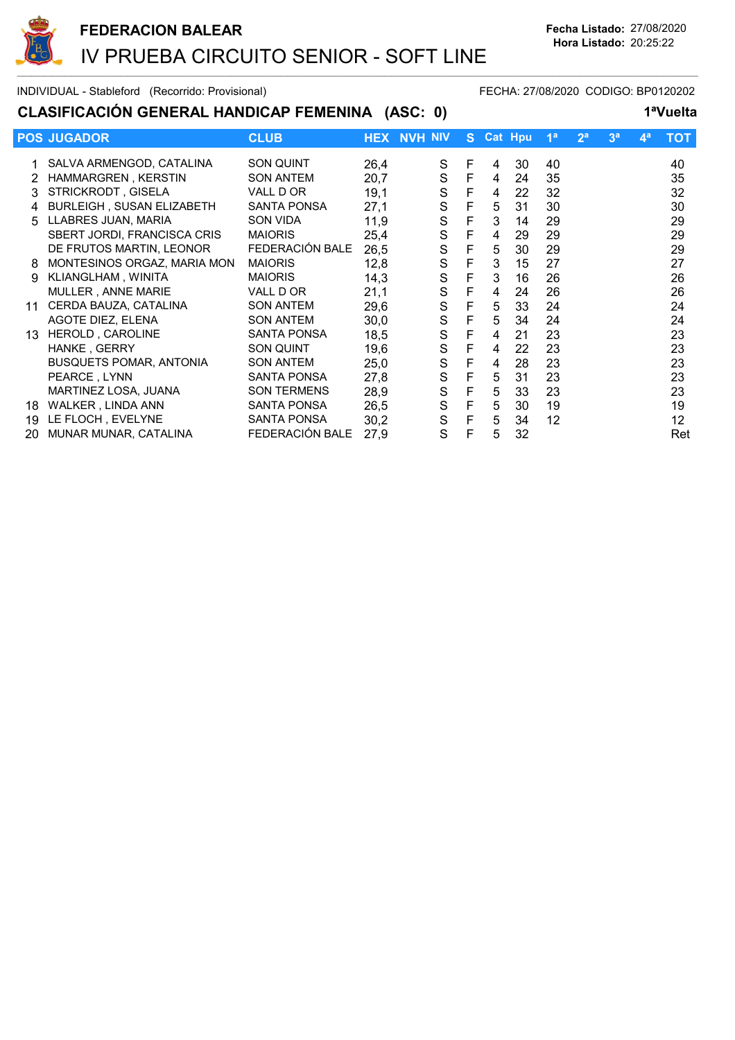

## CLASIFICACIÓN GENERAL HANDICAP FEMENINA (ASC: 0) 1<sup>a</sup>Vuelta

|    | <b>POS JUGADOR</b>               | <b>CLUB</b>        |      | <b>HEX NVH NIV</b> |   | S Cat Hpu |    | 1 <sup>a</sup> | 2 <sup>a</sup> | 3 <sup>a</sup> | 4 <sup>a</sup> | <b>TOT</b> |
|----|----------------------------------|--------------------|------|--------------------|---|-----------|----|----------------|----------------|----------------|----------------|------------|
|    | SALVA ARMENGOD, CATALINA         | <b>SON QUINT</b>   | 26,4 | S                  | F | 4         | 30 | 40             |                |                |                | 40         |
|    | HAMMARGREN, KERSTIN              | SON ANTEM          | 20,7 | S                  | F | 4         | 24 | 35             |                |                |                | 35         |
|    | STRICKRODT, GISELA               | VALL D OR          | 19,1 | $\mathbf S$        | F | 4         | 22 | 32             |                |                |                | 32         |
|    | <b>BURLEIGH, SUSAN ELIZABETH</b> | <b>SANTA PONSA</b> | 27,1 | S                  | F | 5         | 31 | 30             |                |                |                | 30         |
| 5. | LLABRES JUAN, MARIA              | SON VIDA           | 11,9 | $\mathbf S$        | F | 3         | 14 | 29             |                |                |                | 29         |
|    | SBERT JORDI, FRANCISCA CRIS      | <b>MAIORIS</b>     | 25,4 | S                  | F | 4         | 29 | 29             |                |                |                | 29         |
|    | DE FRUTOS MARTIN, LEONOR         | FEDERACIÓN BALE    | 26,5 | S                  | F | 5         | 30 | 29             |                |                |                | 29         |
| 8  | MONTESINOS ORGAZ, MARIA MON      | <b>MAIORIS</b>     | 12,8 | S                  | F | 3         | 15 | 27             |                |                |                | 27         |
| 9  | KLIANGLHAM, WINITA               | <b>MAIORIS</b>     | 14,3 | $\mathbf S$        | F | 3         | 16 | 26             |                |                |                | 26         |
|    | MULLER, ANNE MARIE               | VALL D OR          | 21,1 | $\mathbf S$        | F | 4         | 24 | 26             |                |                |                | 26         |
| 11 | CERDA BAUZA, CATALINA            | <b>SON ANTEM</b>   | 29,6 | $\mathbf S$        | F | 5         | 33 | 24             |                |                |                | 24         |
|    | AGOTE DIEZ, ELENA                | <b>SON ANTEM</b>   | 30,0 | $\mathbf S$        | F | 5         | 34 | 24             |                |                |                | 24         |
| 13 | HEROLD, CAROLINE                 | <b>SANTA PONSA</b> | 18,5 | S                  | F | 4         | 21 | 23             |                |                |                | 23         |
|    | HANKE, GERRY                     | <b>SON QUINT</b>   | 19,6 | $\mathbf S$        | F | 4         | 22 | 23             |                |                |                | 23         |
|    | <b>BUSQUETS POMAR, ANTONIA</b>   | <b>SON ANTEM</b>   | 25,0 | S                  | F | 4         | 28 | 23             |                |                |                | 23         |
|    | PEARCE, LYNN                     | <b>SANTA PONSA</b> | 27,8 | S                  | F | 5         | 31 | 23             |                |                |                | 23         |
|    | MARTINEZ LOSA, JUANA             | <b>SON TERMENS</b> | 28,9 | $\mathbf S$        | F | 5         | 33 | 23             |                |                |                | 23         |
| 18 | WALKER, LINDA ANN                | <b>SANTA PONSA</b> | 26,5 | $\mathsf S$        | F | 5         | 30 | 19             |                |                |                | 19         |
| 19 | LE FLOCH, EVELYNE                | <b>SANTA PONSA</b> | 30,2 | S                  | F | 5         | 34 | 12             |                |                |                | 12         |
| 20 | MUNAR MUNAR, CATALINA            | FEDERACIÓN BALE    | 27,9 | S                  | F | 5         | 32 |                |                |                |                | Ret        |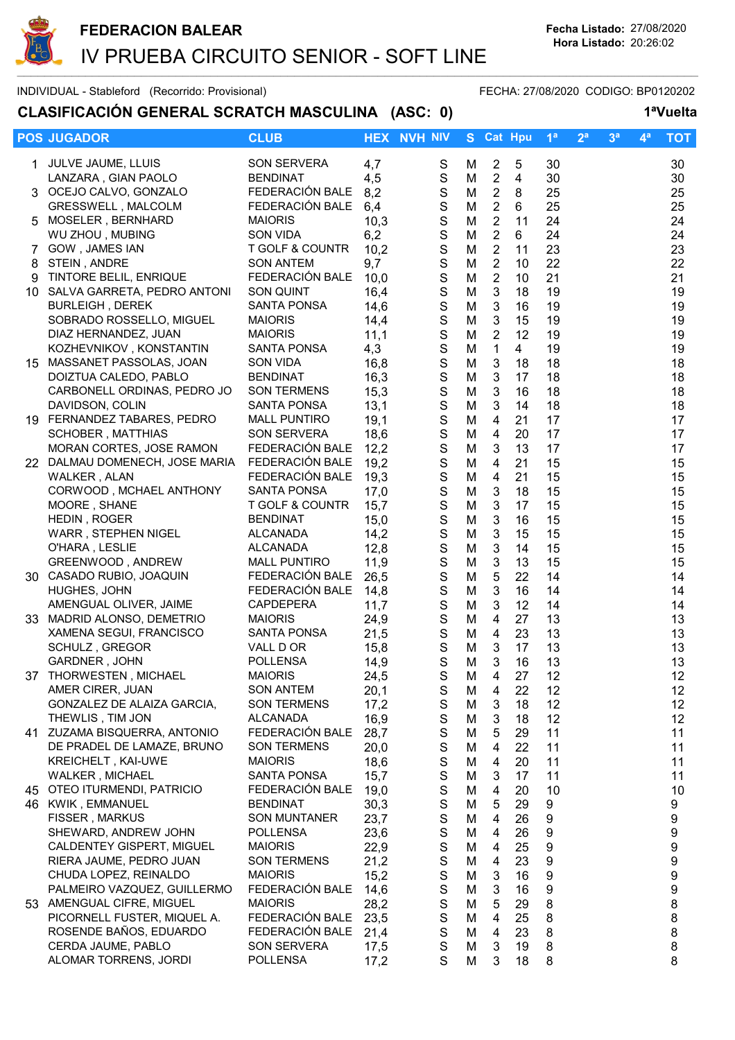

## CLASIFICACIÓN GENERAL SCRATCH MASCULINA (ASC: 0) 1ªVuelta

|        | <b>POS JUGADOR</b>                             | <b>CLUB</b>                                    | <b>HEX</b>   | <b>NVH NIV</b>             | S.     | <b>Cat Hpu</b>                   |                | 1 <sup>a</sup> | 2 <sup>a</sup> | 3 <sup>a</sup> | 4ª | <b>TOT</b>       |
|--------|------------------------------------------------|------------------------------------------------|--------------|----------------------------|--------|----------------------------------|----------------|----------------|----------------|----------------|----|------------------|
|        |                                                |                                                |              |                            |        |                                  |                |                |                |                |    |                  |
|        | 1 JULVE JAUME, LLUIS                           | SON SERVERA                                    | 4,7          | S                          | M      | $\overline{2}$                   | 5              | 30             |                |                |    | 30               |
|        | LANZARA, GIAN PAOLO                            | <b>BENDINAT</b>                                | 4,5          | $\mathbf S$                | M      | $\overline{2}$                   | $\overline{4}$ | 30             |                |                |    | 30               |
|        | 3 OCEJO CALVO, GONZALO                         | FEDERACIÓN BALE                                | 8,2          | $\mathbf S$                | M      | $\overline{2}$                   | 8              | 25             |                |                |    | 25               |
|        | <b>GRESSWELL, MALCOLM</b>                      | FEDERACIÓN BALE                                | 6,4          | $\mathbf S$                | M      | $\overline{2}$                   | 6              | 25             |                |                |    | 25               |
|        | 5 MOSELER, BERNHARD                            | <b>MAIORIS</b>                                 | 10,3         | $\mathbf S$                | M      | $\overline{2}$                   | 11             | 24             |                |                |    | 24               |
|        | WU ZHOU, MUBING                                | <b>SON VIDA</b>                                | 6,2          | $\mathbf S$<br>$\mathbf S$ | M      | $\boldsymbol{2}$                 | 6              | 24             |                |                |    | 24               |
| 7<br>8 | GOW, JAMES IAN<br>STEIN, ANDRE                 | <b>T GOLF &amp; COUNTR</b><br><b>SON ANTEM</b> | 10,2<br>9,7  | S                          | M<br>M | $\overline{2}$<br>$\overline{2}$ | 11<br>10       | 23<br>22       |                |                |    | 23<br>22         |
| 9      | TINTORE BELIL, ENRIQUE                         | FEDERACIÓN BALE                                | 10,0         | S                          | M      | $\overline{2}$                   | 10             | 21             |                |                |    | 21               |
|        | 10 SALVA GARRETA, PEDRO ANTONI                 | <b>SON QUINT</b>                               | 16,4         | S                          | M      | 3                                | 18             | 19             |                |                |    | 19               |
|        | <b>BURLEIGH, DEREK</b>                         | <b>SANTA PONSA</b>                             | 14,6         | S                          | M      | $\mathbf{3}$                     | 16             | 19             |                |                |    | 19               |
|        | SOBRADO ROSSELLO, MIGUEL                       | <b>MAIORIS</b>                                 | 14,4         | $\mathbf S$                | M      | $\mathfrak{S}$                   | 15             | 19             |                |                |    | 19               |
|        | DIAZ HERNANDEZ, JUAN                           | <b>MAIORIS</b>                                 | 11,1         | $\mathbf S$                | M      | $\overline{2}$                   | 12             | 19             |                |                |    | 19               |
|        | KOZHEVNIKOV, KONSTANTIN                        | <b>SANTA PONSA</b>                             | 4,3          | $\mathbf S$                | M      | $\mathbf{1}$                     | $\overline{4}$ | 19             |                |                |    | 19               |
|        | 15 MASSANET PASSOLAS, JOAN                     | <b>SON VIDA</b>                                | 16,8         | $\mathbf S$                | M      | $\mathbf{3}$                     | 18             | 18             |                |                |    | 18               |
|        | DOIZTUA CALEDO, PABLO                          | <b>BENDINAT</b>                                | 16,3         | $\mathbf S$                | M      | $\mathfrak{S}$                   | 17             | 18             |                |                |    | 18               |
|        | CARBONELL ORDINAS, PEDRO JO                    | <b>SON TERMENS</b>                             | 15,3         | $\mathbf S$                | M      | 3                                | 16             | 18             |                |                |    | 18               |
|        | DAVIDSON, COLIN                                | <b>SANTA PONSA</b>                             | 13,1         | $\mathbb S$                | M      | $\mathbf{3}$                     | 14             | 18             |                |                |    | 18               |
|        | 19 FERNANDEZ TABARES, PEDRO                    | <b>MALL PUNTIRO</b>                            | 19,1         | S                          | M      | $\overline{4}$                   | 21             | 17             |                |                |    | 17               |
|        | SCHOBER, MATTHIAS                              | <b>SON SERVERA</b>                             | 18,6         | $\mathbf S$                | M      | 4                                | 20             | 17             |                |                |    | 17               |
|        | MORAN CORTES, JOSE RAMON                       | FEDERACIÓN BALE                                | 12,2         | S                          | M      | 3                                | 13             | 17             |                |                |    | 17               |
|        | 22 DALMAU DOMENECH, JOSE MARIA FEDERACIÓN BALE |                                                | 19,2         | S                          | M      | 4                                | 21             | 15             |                |                |    | 15               |
|        | WALKER, ALAN                                   | FEDERACIÓN BALE                                | 19,3         | S                          | M      | 4                                | 21             | 15             |                |                |    | 15               |
|        | CORWOOD, MCHAEL ANTHONY                        | <b>SANTA PONSA</b>                             | 17,0         | S                          | M      | $\mathbf{3}$                     | 18             | 15             |                |                |    | 15               |
|        | MOORE, SHANE                                   | T GOLF & COUNTR                                | 15,7         | $\mathbf S$                | M      | 3                                | 17             | 15             |                |                |    | 15               |
|        | HEDIN, ROGER                                   | <b>BENDINAT</b><br><b>ALCANADA</b>             | 15,0         | $\mathbf S$<br>$\mathbf S$ | M<br>M | $\mathbf{3}$<br>$\mathbf{3}$     | 16             | 15<br>15       |                |                |    | 15<br>15         |
|        | WARR, STEPHEN NIGEL<br>O'HARA, LESLIE          | <b>ALCANADA</b>                                | 14,2<br>12,8 | $\mathbf S$                | M      | $\mathbf{3}$                     | 15<br>14       | 15             |                |                |    | 15               |
|        | GREENWOOD, ANDREW                              | <b>MALL PUNTIRO</b>                            | 11,9         | $\mathbf S$                | M      | $\mathbf{3}$                     | 13             | 15             |                |                |    | 15               |
|        | 30 CASADO RUBIO, JOAQUIN                       | FEDERACIÓN BALE                                | 26,5         | $\mathbf S$                | M      | 5                                | 22             | 14             |                |                |    | 14               |
|        | HUGHES, JOHN                                   | FEDERACIÓN BALE                                | 14,8         | $\mathbf S$                | M      | $\mathbf{3}$                     | 16             | 14             |                |                |    | 14               |
|        | AMENGUAL OLIVER, JAIME                         | <b>CAPDEPERA</b>                               | 11,7         | $\mathbf S$                | M      | $\mathfrak{S}$                   | 12             | 14             |                |                |    | 14               |
|        | 33 MADRID ALONSO, DEMETRIO                     | <b>MAIORIS</b>                                 | 24,9         | $\mathbf S$                | M      | 4                                | 27             | 13             |                |                |    | 13               |
|        | XAMENA SEGUI, FRANCISCO                        | <b>SANTA PONSA</b>                             | 21,5         | $\mathsf S$                | M      | 4                                | 23             | 13             |                |                |    | 13               |
|        | SCHULZ, GREGOR                                 | VALL D OR                                      | 15,8         | S                          | M      | 3                                | 17             | 13             |                |                |    | 13               |
|        | GARDNER, JOHN                                  | <b>POLLENSA</b>                                | 14,9         | S                          | M      | 3                                | 16             | 13             |                |                |    | 13               |
| 37     | THORWESTEN, MICHAEL                            | <b>MAIORIS</b>                                 | 24,5         | S                          | M      | 4                                | 27             | 12             |                |                |    | 12               |
|        | AMER CIRER, JUAN                               | <b>SON ANTEM</b>                               | 20,1         | S                          | M      | 4                                | 22             | 12             |                |                |    | 12 <sub>2</sub>  |
|        | GONZALEZ DE ALAIZA GARCIA,                     | <b>SON TERMENS</b>                             | 17,2         | $\mathbf S$                | M      | 3                                | 18             | 12             |                |                |    | 12               |
|        | THEWLIS, TIM JON                               | ALCANADA                                       | 16,9         | $\mathbb S$                | M      | 3                                | 18             | 12             |                |                |    | 12               |
|        | 41 ZUZAMA BISQUERRA, ANTONIO                   | FEDERACIÓN BALE                                | 28,7         | $\mathbf S$                | M      | 5                                | 29             | 11             |                |                |    | 11               |
|        | DE PRADEL DE LAMAZE, BRUNO                     | <b>SON TERMENS</b>                             | 20,0         | $\mathbf S$                | M      | $\overline{4}$                   | 22             | 11             |                |                |    | 11               |
|        | KREICHELT, KAI-UWE                             | <b>MAIORIS</b>                                 | 18,6         | $\mathbf S$                | M      | 4                                | 20             | 11             |                |                |    | 11               |
|        | WALKER, MICHAEL                                | SANTA PONSA                                    | 15,7         | $\mathbf S$                | M      | 3                                | 17             | 11             |                |                |    | 11               |
|        | 45 OTEO ITURMENDI, PATRICIO                    | FEDERACIÓN BALE                                | 19,0         | $\mathbf S$                | M      | 4                                | 20             | 10             |                |                |    | 10               |
|        | 46 KWIK, EMMANUEL<br>FISSER, MARKUS            | <b>BENDINAT</b><br><b>SON MUNTANER</b>         | 30,3<br>23,7 | $\mathbf S$<br>$\mathbf S$ | M<br>M | 5<br>4                           | 29             | 9<br>9         |                |                |    | 9<br>9           |
|        | SHEWARD, ANDREW JOHN                           | <b>POLLENSA</b>                                | 23,6         | $\mathbf S$                | M      | 4                                | 26<br>26       | 9              |                |                |    | 9                |
|        | CALDENTEY GISPERT, MIGUEL                      | <b>MAIORIS</b>                                 | 22,9         | $\mathbf S$                | M      | 4                                | 25             | 9              |                |                |    | 9                |
|        | RIERA JAUME, PEDRO JUAN                        | <b>SON TERMENS</b>                             | 21,2         | $\mathbf S$                | M      | 4                                | 23             | 9              |                |                |    | 9                |
|        | CHUDA LOPEZ, REINALDO                          | <b>MAIORIS</b>                                 | 15,2         | $\mathbf S$                | M      | 3                                | 16             | 9              |                |                |    | $\boldsymbol{9}$ |
|        | PALMEIRO VAZQUEZ, GUILLERMO                    | FEDERACIÓN BALE                                | 14,6         | S                          | M      | 3                                | 16             | 9              |                |                |    | $\boldsymbol{9}$ |
|        | 53 AMENGUAL CIFRE, MIGUEL                      | <b>MAIORIS</b>                                 | 28,2         | $\mathsf S$                | M      | 5                                | 29             | 8              |                |                |    | $\bf 8$          |
|        | PICORNELL FUSTER, MIQUEL A.                    | FEDERACIÓN BALE                                | 23,5         | $\mathbb S$                | M      | 4                                | 25             | 8              |                |                |    | 8                |
|        | ROSENDE BAÑOS, EDUARDO                         | FEDERACIÓN BALE                                | 21,4         | $\mathbf S$                | M      | 4                                | 23             | 8              |                |                |    | 8                |
|        | CERDA JAUME, PABLO                             | SON SERVERA                                    | 17,5         | S                          | M      | 3                                | 19             | 8              |                |                |    | 8                |
|        | ALOMAR TORRENS, JORDI                          | <b>POLLENSA</b>                                | 17,2         | S                          | M      | 3                                | 18             | 8              |                |                |    | 8                |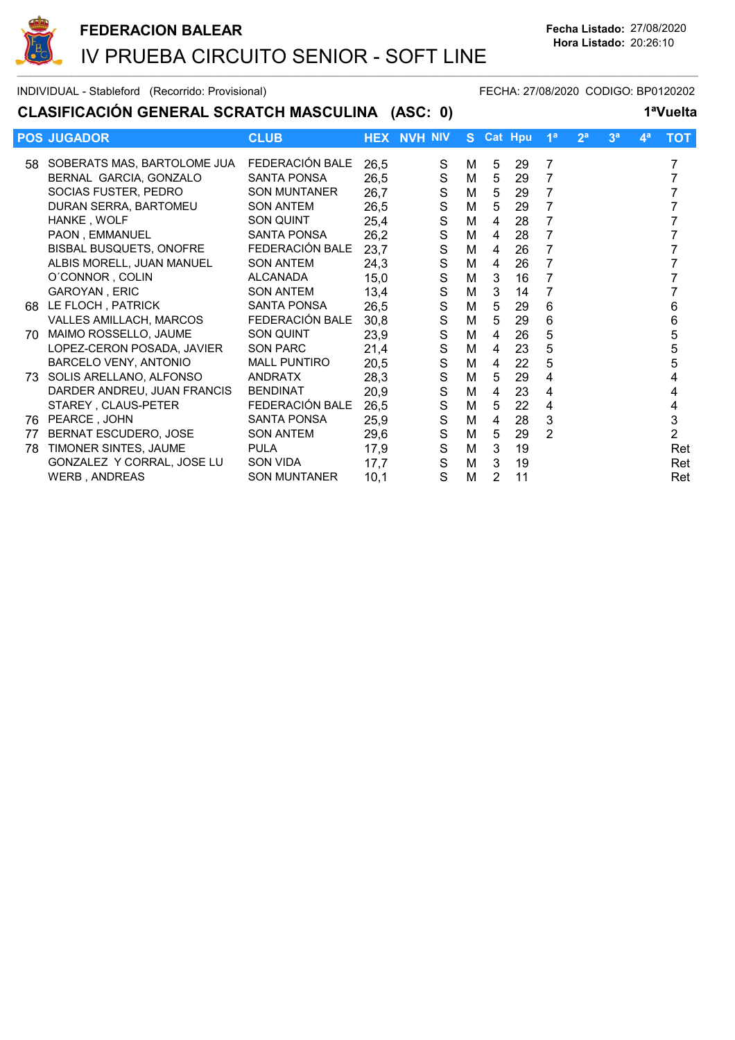

## CLASIFICACIÓN GENERAL SCRATCH MASCULINA (ASC: 0) 1ªVuelta

|     | <b>POS JUGADOR</b>             | <b>CLUB</b>         |      | <b>HEX NVH NIV</b> |   | S Cat Hpu |    | 1 <sup>a</sup>  | 2 <sup>a</sup> | 3 <sup>a</sup> | 4 <sup>a</sup> | <b>TOT</b>     |
|-----|--------------------------------|---------------------|------|--------------------|---|-----------|----|-----------------|----------------|----------------|----------------|----------------|
|     | 58 SOBERATS MAS, BARTOLOME JUA | FEDERACIÓN BALE     | 26,5 | S                  | м | 5         | 29 | 7               |                |                |                |                |
|     | BERNAL GARCIA, GONZALO         | SANTA PONSA         | 26,5 | $\mathbf S$        | М | 5         | 29 | 7               |                |                |                |                |
|     | SOCIAS FUSTER, PEDRO           | <b>SON MUNTANER</b> | 26,7 | $\mathbf S$        | М | 5         | 29 | $\overline{7}$  |                |                |                |                |
|     | DURAN SERRA, BARTOMEU          | <b>SON ANTEM</b>    | 26,5 | $\mathbf S$        | М | 5         | 29 | 7               |                |                |                |                |
|     | HANKE, WOLF                    | SON QUINT           | 25,4 | $\mathbf S$        | М | 4         | 28 | $\overline{7}$  |                |                |                |                |
|     | PAON, EMMANUEL                 | <b>SANTA PONSA</b>  | 26,2 | $\mathbf S$        | М | 4         | 28 | 7               |                |                |                |                |
|     | BISBAL BUSQUETS, ONOFRE        | FEDERACIÓN BALE     | 23,7 | $\mathbf S$        | M | 4         | 26 | 7               |                |                |                |                |
|     | ALBIS MORELL, JUAN MANUEL      | <b>SON ANTEM</b>    | 24,3 | $\mathbf S$        | M | 4         | 26 | $\overline{7}$  |                |                |                |                |
|     | O'CONNOR, COLIN                | ALCANADA            | 15,0 | $\mathsf S$        | М | 3         | 16 | 7               |                |                |                |                |
|     | GAROYAN, ERIC                  | <b>SON ANTEM</b>    | 13,4 | $\mathbf S$        | M | 3         | 14 | $\overline{7}$  |                |                |                |                |
|     | 68 LE FLOCH, PATRICK           | <b>SANTA PONSA</b>  | 26,5 | $\mathbf S$        | M | 5         | 29 | $6\phantom{1}6$ |                |                |                | 6              |
|     | <b>VALLES AMILLACH, MARCOS</b> | FEDERACIÓN BALE     | 30,8 | $\mathbf S$        | M | 5         | 29 | 6               |                |                |                | 6              |
| 70. | MAIMO ROSSELLO, JAUME          | SON QUINT           | 23,9 | ${\mathsf S}$      | M | 4         | 26 | 5               |                |                |                | 5              |
|     | LOPEZ-CERON POSADA, JAVIER     | <b>SON PARC</b>     | 21,4 | $\mathsf S$        | М | 4         | 23 | 5               |                |                |                | 5              |
|     | BARCELO VENY, ANTONIO          | <b>MALL PUNTIRO</b> | 20,5 | $\mathbf S$        | М | 4         | 22 | 5               |                |                |                | 5              |
|     | 73 SOLIS ARELLANO, ALFONSO     | <b>ANDRATX</b>      | 28,3 | $\mathsf S$        | М | 5         | 29 | 4               |                |                |                | 4              |
|     | DARDER ANDREU, JUAN FRANCIS    | <b>BENDINAT</b>     | 20,9 | $\mathbf S$        | М | 4         | 23 | 4               |                |                |                | 4              |
|     | STAREY, CLAUS-PETER            | FEDERACIÓN BALE     | 26,5 | $\mathsf S$        | М | 5         | 22 | 4               |                |                |                | 4              |
| 76  | PEARCE, JOHN                   | <b>SANTA PONSA</b>  | 25,9 | $\mathbf S$        | М | 4         | 28 | $\mathbf{3}$    |                |                |                | 3              |
| 77  | BERNAT ESCUDERO, JOSE          | <b>SON ANTEM</b>    | 29,6 | $\mathbf S$        | М | 5         | 29 | $\overline{2}$  |                |                |                | $\overline{2}$ |
| 78  | TIMONER SINTES, JAUME          | <b>PULA</b>         | 17,9 | $\mathbf S$        | М | 3         | 19 |                 |                |                |                | Ret            |
|     | GONZALEZ Y CORRAL, JOSE LU     | <b>SON VIDA</b>     | 17,7 | ${\mathsf S}$      | М | 3         | 19 |                 |                |                |                | Ret            |
|     | WERB, ANDREAS                  | <b>SON MUNTANER</b> | 10,1 | S                  | M | 2         | 11 |                 |                |                |                | Ret            |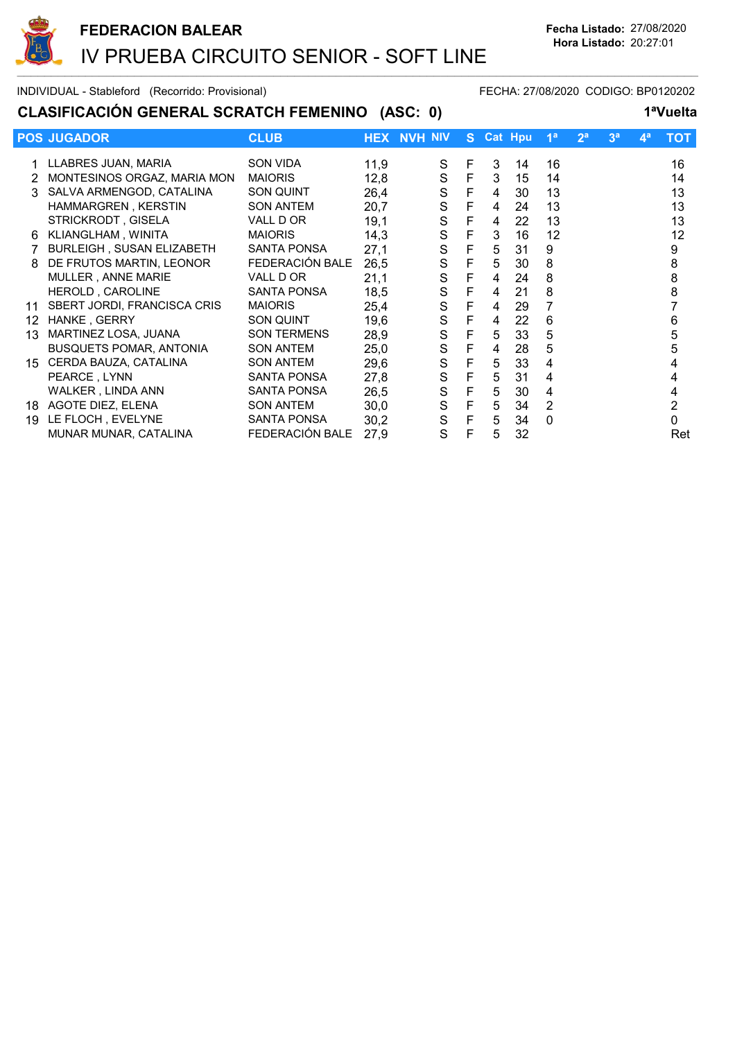

## CLASIFICACIÓN GENERAL SCRATCH FEMENINO (ASC: 0) 1<sup>a</sup>Vuelta

|    | <b>POS JUGADOR</b>             | <b>CLUB</b>        |      | <b>HEX NVH NIV</b> |             |   | S Cat Hpu | 1 <sup>a</sup> | 2 <sup>a</sup> | 3 <sup>a</sup> | $\mathbf{4}^{\mathsf{a}}$ | тот |
|----|--------------------------------|--------------------|------|--------------------|-------------|---|-----------|----------------|----------------|----------------|---------------------------|-----|
|    | LLABRES JUAN, MARIA            | SON VIDA           | 11,9 | S                  | F           | 3 | 14        | 16             |                |                |                           | 16  |
|    | MONTESINOS ORGAZ, MARIA MON    | <b>MAIORIS</b>     | 12,8 | ${\mathsf S}$      | F           | 3 | 15        | 14             |                |                |                           | 14  |
| 3  | SALVA ARMENGOD, CATALINA       | SON QUINT          | 26,4 | S                  | F           | 4 | 30        | 13             |                |                |                           | 13  |
|    | HAMMARGREN, KERSTIN            | <b>SON ANTEM</b>   | 20,7 | S                  | F           | 4 | 24        | 13             |                |                |                           | 13  |
|    | STRICKRODT, GISELA             | VALL D OR          | 19,1 | S                  | F           | 4 | 22        | 13             |                |                |                           | 13  |
| 6  | KLIANGLHAM, WINITA             | <b>MAIORIS</b>     | 14,3 | $\mathsf S$        | F           | 3 | 16        | 12             |                |                |                           | 12  |
|    | BURLEIGH, SUSAN ELIZABETH      | SANTA PONSA        | 27,1 | S                  | $\mathsf F$ | 5 | 31        | 9              |                |                |                           | 9   |
| 8  | DE FRUTOS MARTIN, LEONOR       | FEDERACIÓN BALE    | 26,5 | S                  | F           | 5 | 30        | 8              |                |                |                           | 8   |
|    | MULLER, ANNE MARIE             | VALL D OR          | 21,1 | S                  | F           | 4 | 24        | 8              |                |                |                           | 8   |
|    | HEROLD, CAROLINE               | <b>SANTA PONSA</b> | 18,5 | S                  | F           | 4 | 21        | 8              |                |                |                           | 8   |
| 11 | SBERT JORDI, FRANCISCA CRIS    | <b>MAIORIS</b>     | 25,4 | S                  | F           | 4 | 29        |                |                |                |                           |     |
| 12 | HANKE, GERRY                   | SON QUINT          | 19,6 | $\mathbf S$        | $\mathsf F$ | 4 | 22        | 6              |                |                |                           | 6   |
| 13 | MARTINEZ LOSA, JUANA           | <b>SON TERMENS</b> | 28,9 | $\mathsf S$        | $\mathsf F$ | 5 | 33        | 5              |                |                |                           | 5   |
|    | <b>BUSQUETS POMAR, ANTONIA</b> | <b>SON ANTEM</b>   | 25,0 | $\mathbf S$        | $\mathsf F$ | 4 | 28        | 5              |                |                |                           | 5   |
| 15 | CERDA BAUZA, CATALINA          | <b>SON ANTEM</b>   | 29,6 | $\mathbf S$        | $\mathsf F$ | 5 | 33        | 4              |                |                |                           | 4   |
|    | PEARCE, LYNN                   | <b>SANTA PONSA</b> | 27,8 | $\mathbf S$        | F           | 5 | 31        | 4              |                |                |                           | 4   |
|    | WALKER, LINDA ANN              | <b>SANTA PONSA</b> | 26,5 | S                  | $\mathsf F$ | 5 | 30        | 4              |                |                |                           | 4   |
| 18 | AGOTE DIEZ, ELENA              | <b>SON ANTEM</b>   | 30,0 | S                  | $\mathsf F$ | 5 | 34        | 2              |                |                |                           | 2   |
| 19 | LE FLOCH, EVELYNE              | <b>SANTA PONSA</b> | 30,2 | $\mathbf S$        | $\mathsf F$ | 5 | 34        | $\mathbf{0}$   |                |                |                           | 0   |
|    | MUNAR MUNAR, CATALINA          | FEDERACIÓN BALE    | 27,9 | S                  | F           | 5 | 32        |                |                |                |                           | Ret |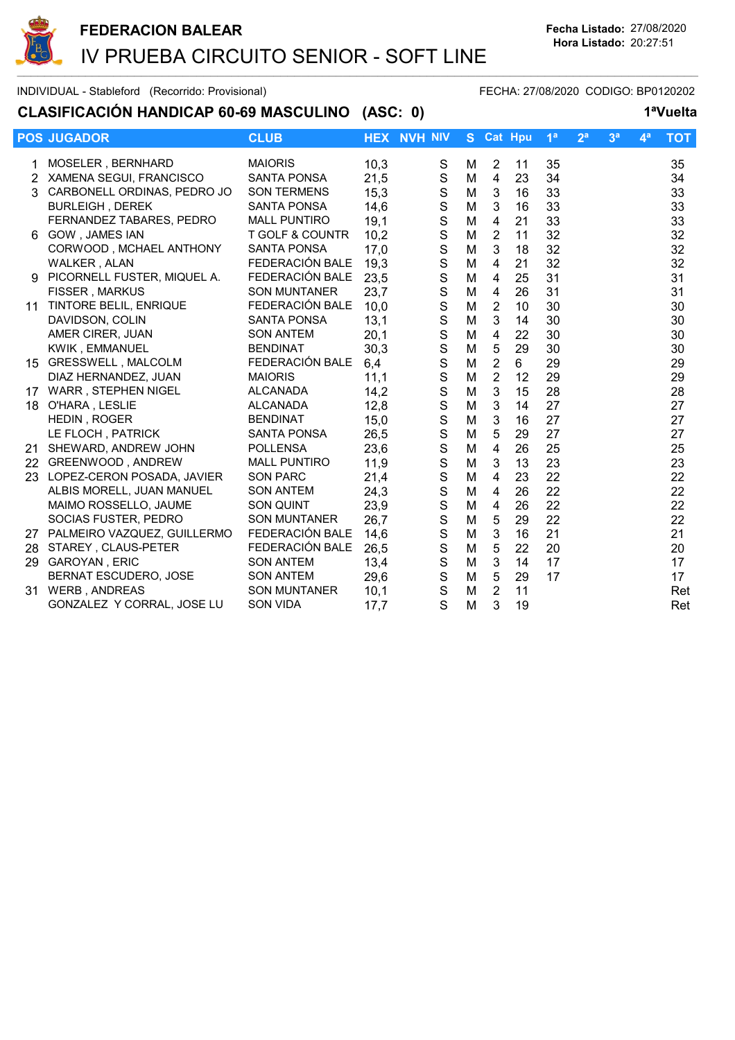

#### CLASIFICACIÓN HANDICAP 60-69 MASCULINO (ASC: 0) 1ªVuelta

|    | <b>POS JUGADOR</b>             | <b>CLUB</b>                |      | <b>HEX NVH NIV</b> | S. | <b>Cat Hpu</b> |    | 1 <sup>a</sup> | 2 <sup>a</sup> | 3 <sup>a</sup> | 4 <sup>a</sup> | <b>TOT</b> |
|----|--------------------------------|----------------------------|------|--------------------|----|----------------|----|----------------|----------------|----------------|----------------|------------|
|    | MOSELER, BERNHARD              | <b>MAIORIS</b>             | 10,3 | S                  | м  | 2              | 11 | 35             |                |                |                | 35         |
|    | 2 XAMENA SEGUI, FRANCISCO      | <b>SANTA PONSA</b>         | 21,5 | $\mathbf S$        | M  | $\overline{4}$ | 23 | 34             |                |                |                | 34         |
|    | 3 CARBONELL ORDINAS, PEDRO JO  | <b>SON TERMENS</b>         | 15,3 | $\mathbf S$        | M  | 3              | 16 | 33             |                |                |                | 33         |
|    | <b>BURLEIGH, DEREK</b>         | <b>SANTA PONSA</b>         | 14,6 | $\mathbf S$        | M  | 3              | 16 | 33             |                |                |                | 33         |
|    | FERNANDEZ TABARES, PEDRO       | <b>MALL PUNTIRO</b>        | 19,1 | $\mathbf S$        | M  | 4              | 21 | 33             |                |                |                | 33         |
| 6. | <b>GOW, JAMES IAN</b>          | <b>T GOLF &amp; COUNTR</b> | 10,2 | $\mathbf S$        | M  | $\overline{2}$ | 11 | 32             |                |                |                | 32         |
|    | CORWOOD, MCHAEL ANTHONY        | <b>SANTA PONSA</b>         | 17,0 | $\mathbf S$        | M  | 3              | 18 | 32             |                |                |                | 32         |
|    | WALKER, ALAN                   | FEDERACIÓN BALE            | 19,3 | $\mathbf S$        | M  | $\overline{4}$ | 21 | 32             |                |                |                | 32         |
|    | 9 PICORNELL FUSTER, MIQUEL A.  | FEDERACIÓN BALE            | 23,5 | $\mathbf S$        | M  | 4              | 25 | 31             |                |                |                | 31         |
|    | <b>FISSER, MARKUS</b>          | <b>SON MUNTANER</b>        | 23,7 | $\mathsf{S}$       | M  | $\overline{4}$ | 26 | 31             |                |                |                | 31         |
| 11 | TINTORE BELIL, ENRIQUE         | FEDERACIÓN BALE            | 10,0 | $\mathbf S$        | M  | $\overline{2}$ | 10 | 30             |                |                |                | 30         |
|    | DAVIDSON, COLIN                | <b>SANTA PONSA</b>         | 13,1 | $\mathbf S$        | M  | 3              | 14 | 30             |                |                |                | 30         |
|    | AMER CIRER, JUAN               | <b>SON ANTEM</b>           | 20,1 | $\mathbf S$        | M  | 4              | 22 | 30             |                |                |                | 30         |
|    | <b>KWIK, EMMANUEL</b>          | <b>BENDINAT</b>            | 30,3 | $\mathbf S$        | M  | 5              | 29 | 30             |                |                |                | 30         |
|    | 15 GRESSWELL, MALCOLM          | FEDERACIÓN BALE            | 6,4  | $\mathbf S$        | M  | $\overline{2}$ | 6  | 29             |                |                |                | 29         |
|    | DIAZ HERNANDEZ, JUAN           | <b>MAIORIS</b>             | 11,1 | $\mathbf S$        | M  | $\overline{2}$ | 12 | 29             |                |                |                | 29         |
| 17 | WARR, STEPHEN NIGEL            | <b>ALCANADA</b>            | 14,2 | $\mathbf S$        | M  | 3              | 15 | 28             |                |                |                | 28         |
| 18 | O'HARA, LESLIE                 | <b>ALCANADA</b>            | 12,8 | $\mathsf{S}$       | M  | 3              | 14 | 27             |                |                |                | 27         |
|    | HEDIN, ROGER                   | <b>BENDINAT</b>            | 15,0 | $\mathbf S$        | M  | 3              | 16 | 27             |                |                |                | 27         |
|    | LE FLOCH, PATRICK              | <b>SANTA PONSA</b>         | 26,5 | $\mathbf S$        | M  | 5              | 29 | 27             |                |                |                | 27         |
| 21 | SHEWARD, ANDREW JOHN           | <b>POLLENSA</b>            | 23,6 | $\mathbf S$        | M  | $\overline{4}$ | 26 | 25             |                |                |                | 25         |
|    | 22 GREENWOOD, ANDREW           | <b>MALL PUNTIRO</b>        | 11,9 | $\mathbf S$        | M  | 3              | 13 | 23             |                |                |                | 23         |
| 23 | LOPEZ-CERON POSADA, JAVIER     | <b>SON PARC</b>            | 21,4 | $\mathbf S$        | M  | $\overline{4}$ | 23 | 22             |                |                |                | 22         |
|    | ALBIS MORELL, JUAN MANUEL      | <b>SON ANTEM</b>           | 24,3 | $\mathbf S$        | M  | 4              | 26 | 22             |                |                |                | 22         |
|    | MAIMO ROSSELLO, JAUME          | <b>SON QUINT</b>           | 23,9 | $\mathbf S$        | M  | 4              | 26 | 22             |                |                |                | 22         |
|    | SOCIAS FUSTER, PEDRO           | <b>SON MUNTANER</b>        | 26,7 | $\mathbf S$        | M  | 5              | 29 | 22             |                |                |                | 22         |
|    | 27 PALMEIRO VAZQUEZ, GUILLERMO | FEDERACIÓN BALE            | 14,6 | $\mathbf S$        | M  | 3              | 16 | 21             |                |                |                | 21         |
|    | 28 STAREY, CLAUS-PETER         | FEDERACIÓN BALE            | 26,5 | $\mathbf S$        | M  | $\overline{5}$ | 22 | 20             |                |                |                | 20         |
|    | 29 GAROYAN, ERIC               | <b>SON ANTEM</b>           | 13,4 | $\mathbf S$        | M  | 3              | 14 | 17             |                |                |                | 17         |
|    | BERNAT ESCUDERO, JOSE          | <b>SON ANTEM</b>           | 29,6 | $\mathbf S$        | M  | 5              | 29 | 17             |                |                |                | 17         |
| 31 | <b>WERB, ANDREAS</b>           | <b>SON MUNTANER</b>        | 10,1 | S                  | М  | 2              | 11 |                |                |                |                | Ret        |
|    | GONZALEZ Y CORRAL, JOSE LU     | <b>SON VIDA</b>            | 17,7 | S                  | M  | 3              | 19 |                |                |                |                | Ret        |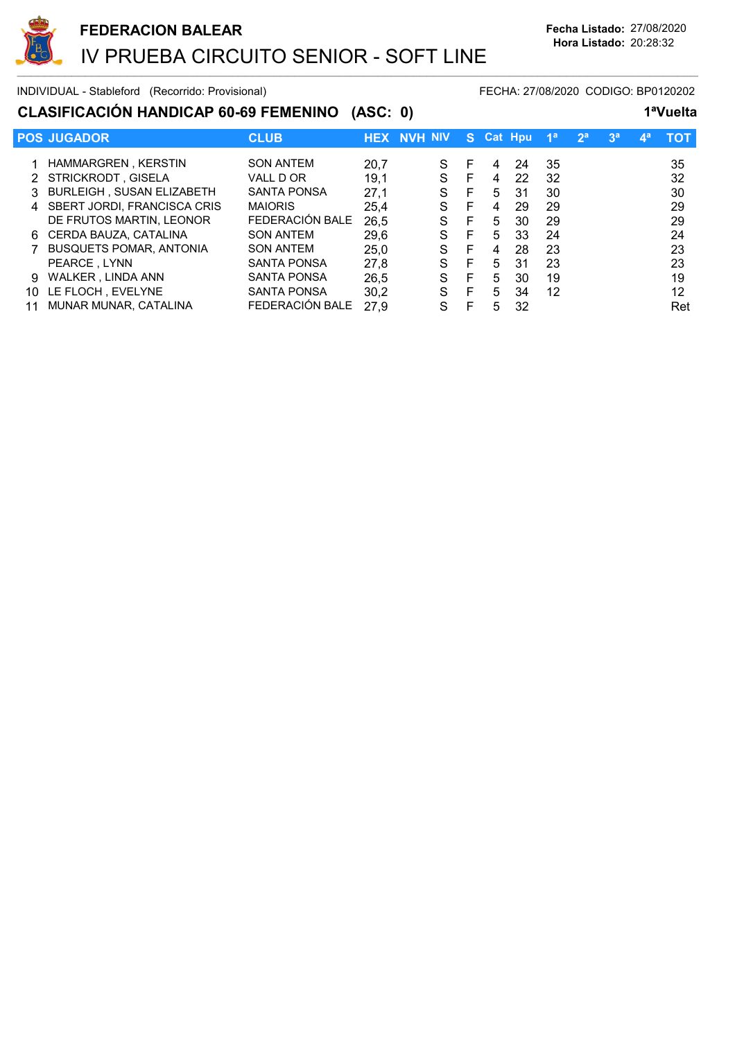

## CLASIFICACIÓN HANDICAP 60-69 FEMENINO (ASC: 0) 1ªVuelta

|    | <b>POS JUGADOR</b>             | <b>CLUB</b>        | <b>HEX</b> | <b>NVH NIV</b> |   |   | S Cat Hou | 1 <sup>a</sup> | 2 <sup>a</sup> | 3 <sup>a</sup> | <b>Ag</b> | тот |
|----|--------------------------------|--------------------|------------|----------------|---|---|-----------|----------------|----------------|----------------|-----------|-----|
|    |                                |                    |            |                |   |   |           |                |                |                |           |     |
|    | HAMMARGREN, KERSTIN            | <b>SON ANTEM</b>   | 20,7       | S              | F | 4 | 24        | 35             |                |                |           | 35  |
|    | 2 STRICKRODT, GISELA           | VALL D OR          | 19,1       | S              | F | 4 | 22        | -32            |                |                |           | 32  |
|    | 3 BURLEIGH, SUSAN ELIZABETH    | <b>SANTA PONSA</b> | 27,1       | S              | F | 5 | -31       | 30             |                |                |           | 30  |
|    | 4 SBERT JORDI, FRANCISCA CRIS  | <b>MAIORIS</b>     | 25,4       | S              | F | 4 | 29        | 29             |                |                |           | 29  |
|    | DE FRUTOS MARTIN, LEONOR       | FEDERACIÓN BALE    | 26,5       | S              | E | 5 | 30        | 29             |                |                |           | 29  |
|    | 6 CERDA BAUZA, CATALINA        | <b>SON ANTEM</b>   | 29,6       | S              | F | 5 | 33        | 24             |                |                |           | 24  |
|    | <b>BUSQUETS POMAR, ANTONIA</b> | <b>SON ANTEM</b>   | 25,0       | S              | F | 4 | 28        | 23             |                |                |           | 23  |
|    | PEARCE, LYNN                   | <b>SANTA PONSA</b> | 27,8       | S              | F | 5 | 31        | 23             |                |                |           | 23  |
| 9  | WALKER, LINDA ANN              | <b>SANTA PONSA</b> | 26,5       | S              | F | 5 | 30        | 19             |                |                |           | 19  |
| 10 | LE FLOCH, EVELYNE              | <b>SANTA PONSA</b> | 30,2       | S              | E | 5 | 34        | 12             |                |                |           | 12  |
|    | MUNAR MUNAR, CATALINA          | FEDERACIÓN BALE    | 27.9       | S              | F | 5 | 32        |                |                |                |           | Ret |
|    |                                |                    |            |                |   |   |           |                |                |                |           |     |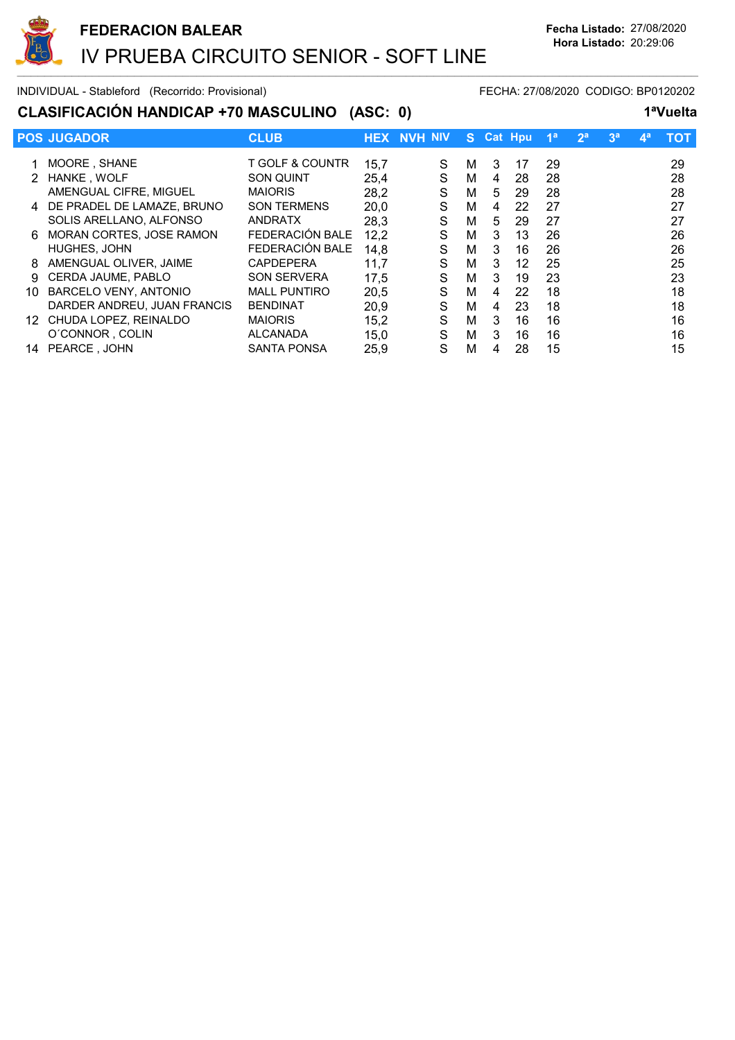

# CLASIFICACIÓN HANDICAP +70 MASCULINO (ASC: 0) 1ªVuelta

|     | <b>POS JUGADOR</b>           | <b>CLUB</b>         |      | <b>HEX NVH NIV</b> | S. |   | <b>Cat Hpu</b> | 1 <sup>a</sup> | 2 <sup>a</sup> | 3 <sup>a</sup> | $\mathbf{A}^{\mathbf{a}}$ | тот |
|-----|------------------------------|---------------------|------|--------------------|----|---|----------------|----------------|----------------|----------------|---------------------------|-----|
|     | MOORE, SHANE                 | T GOLF & COUNTR     | 15,7 | S                  | м  | 3 | 17             | 29             |                |                |                           | 29  |
|     | HANKE, WOLF                  | <b>SON QUINT</b>    | 25.4 | S                  | м  | 4 | 28             | 28             |                |                |                           | 28  |
|     | AMENGUAL CIFRE, MIGUEL       | <b>MAIORIS</b>      | 28,2 | S                  | М  | 5 | 29             | 28             |                |                |                           | 28  |
|     | 4 DE PRADEL DE LAMAZE, BRUNO | <b>SON TERMENS</b>  | 20,0 | S                  | М  | 4 | 22             | 27             |                |                |                           | 27  |
|     | SOLIS ARELLANO, ALFONSO      | <b>ANDRATX</b>      | 28,3 | S                  | М  | 5 | 29             | 27             |                |                |                           | 27  |
| 6.  | MORAN CORTES, JOSE RAMON     | FEDERACIÓN BALE     | 12,2 | S                  | М  | 3 | 13             | 26             |                |                |                           | 26  |
|     | HUGHES, JOHN                 | FEDERACIÓN BALE     | 14,8 | S                  | м  | 3 | 16             | 26             |                |                |                           | 26  |
| 8   | AMENGUAL OLIVER, JAIME       | <b>CAPDEPERA</b>    | 11,7 | S                  | м  | 3 | 12             | 25             |                |                |                           | 25  |
| 9.  | <b>CERDA JAUME, PABLO</b>    | <b>SON SERVERA</b>  | 17,5 | S                  | м  | 3 | 19             | 23             |                |                |                           | 23  |
| 10  | <b>BARCELO VENY, ANTONIO</b> | <b>MALL PUNTIRO</b> | 20,5 | S                  | М  | 4 | 22             | 18             |                |                |                           | 18  |
|     | DARDER ANDREU, JUAN FRANCIS  | <b>BENDINAT</b>     | 20,9 | S                  | М  | 4 | 23             | 18             |                |                |                           | 18  |
| 12. | CHUDA LOPEZ, REINALDO        | <b>MAIORIS</b>      | 15,2 | S                  | м  | 3 | 16             | 16             |                |                |                           | 16  |
|     | O'CONNOR, COLIN              | <b>ALCANADA</b>     | 15,0 | S                  | M  | 3 | 16             | 16             |                |                |                           | 16  |
| 14  | PEARCE, JOHN                 | <b>SANTA PONSA</b>  | 25,9 | S                  | М  | 4 | 28             | 15             |                |                |                           | 15  |